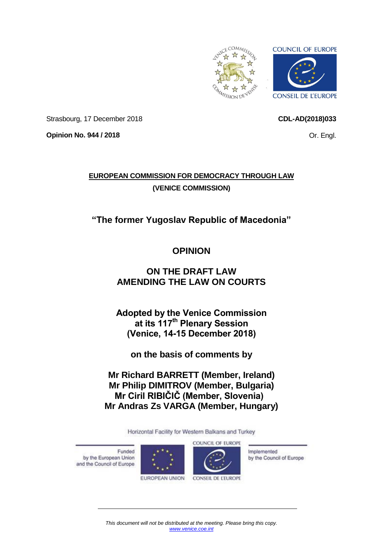<span id="page-0-0"></span>

Strasbourg, 17 December 2018

**Opinion No. 944 / 2018**

Or. Engl.

**CDL-AD(2018)033**

# **EUROPEAN COMMISSION FOR DEMOCRACY THROUGH LAW (VENICE COMMISSION)**

# **"The former Yugoslav Republic of Macedonia"**

# **OPINION**

# **ON THE DRAFT LAW AMENDING THE LAW ON COURTS**

**Adopted by the Venice Commission at its 117th Plenary Session (Venice, 14-15 December 2018)**

**on the basis of comments by**

**Mr Richard BARRETT (Member, Ireland) Mr Philip DIMITROV (Member, Bulgaria) Mr Ciril RIBIČIČ (Member, Slovenia) Mr Andras Zs VARGA (Member, Hungary)**

Horizontal Facility for Western Balkans and Turkey

Funded by the European Union and the Council of Europe





Implemented by the Council of Europe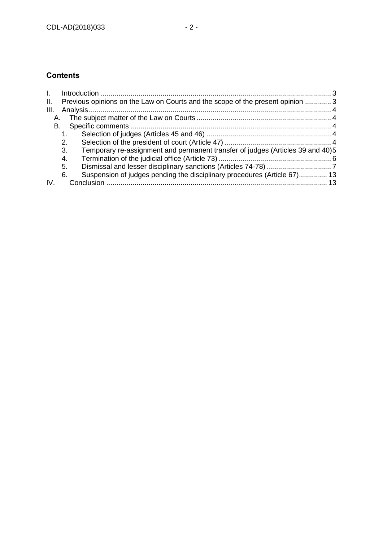# **Contents**

| $\mathbf{L}$ |                                                                                      |  |
|--------------|--------------------------------------------------------------------------------------|--|
| II.          | Previous opinions on the Law on Courts and the scope of the present opinion  3       |  |
| III.         |                                                                                      |  |
| A.           |                                                                                      |  |
| B.           |                                                                                      |  |
|              |                                                                                      |  |
|              | 2.                                                                                   |  |
|              | Temporary re-assignment and permanent transfer of judges (Articles 39 and 40)5<br>3. |  |
|              | 4.                                                                                   |  |
|              | 5.                                                                                   |  |
|              | Suspension of judges pending the disciplinary procedures (Article 67) 13<br>6.       |  |
|              |                                                                                      |  |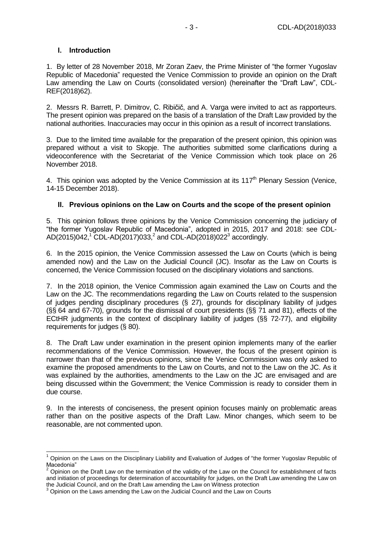### <span id="page-2-0"></span>**I. Introduction**

1. By letter of 28 November 2018, Mr Zoran Zaev, the Prime Minister of "the former Yugoslav Republic of Macedonia" requested the Venice Commission to provide an opinion on the Draft Law amending the Law on Courts (consolidated version) (hereinafter the "Draft Law", CDL-REF(2018)62).

2. Messrs R. Barrett, P. Dimitrov, C. Ribičič, and A. Varga were invited to act as rapporteurs. The present opinion was prepared on the basis of a translation of the Draft Law provided by the national authorities. Inaccuracies may occur in this opinion as a result of incorrect translations.

3. Due to the limited time available for the preparation of the present opinion, this opinion was prepared without a visit to Skopje. The authorities submitted some clarifications during a videoconference with the Secretariat of the Venice Commission which took place on 26 November 2018.

4. This opinion was adopted by the Venice Commission at its  $117<sup>th</sup>$  Plenary Session (Venice, 14-15 December 2018).

## <span id="page-2-1"></span>**II. Previous opinions on the Law on Courts and the scope of the present opinion**

5. This opinion follows three opinions by the Venice Commission concerning the judiciary of "the former Yugoslav Republic of Macedonia", adopted in 2015, 2017 and 2018: see CDL-AD(2015)042,<sup>1</sup> CDL-AD(2017)033,<sup>2</sup> and CDL-AD(2018)022<sup>3</sup> accordingly.

6. In the 2015 opinion, the Venice Commission assessed the Law on Courts (which is being amended now) and the Law on the Judicial Council (JC). Insofar as the Law on Courts is concerned, the Venice Commission focused on the disciplinary violations and sanctions.

7. In the 2018 opinion, the Venice Commission again examined the Law on Courts and the Law on the JC. The recommendations regarding the Law on Courts related to the suspension of judges pending disciplinary procedures (§ 27), grounds for disciplinary liability of judges (§§ 64 and 67-70), grounds for the dismissal of court presidents (§§ 71 and 81), effects of the ECtHR judgments in the context of disciplinary liability of judges (§§ 72-77), and eligibility requirements for judges (§ 80).

8. The Draft Law under examination in the present opinion implements many of the earlier recommendations of the Venice Commission. However, the focus of the present opinion is narrower than that of the previous opinions, since the Venice Commission was only asked to examine the proposed amendments to the Law on Courts, and not to the Law on the JC. As it was explained by the authorities, amendments to the Law on the JC are envisaged and are being discussed within the Government; the Venice Commission is ready to consider them in due course.

9. In the interests of conciseness, the present opinion focuses mainly on problematic areas rather than on the positive aspects of the Draft Law. Minor changes, which seem to be reasonable, are not commented upon.

<sup>-</sup><sup>1</sup> Opinion on the Laws on the Disciplinary Liability and Evaluation of Judges of "the former Yugoslav Republic of Macedonia"

<sup>2</sup> Opinion on the Draft Law on the termination of the validity of the Law on the Council for establishment of facts and initiation of proceedings for determination of accountability for judges, on the Draft Law amending the Law on the Judicial Council, and on the Draft Law amending the Law on Witness protection

<sup>3</sup> Opinion on the Laws amending the Law on the Judicial Council and the Law on Courts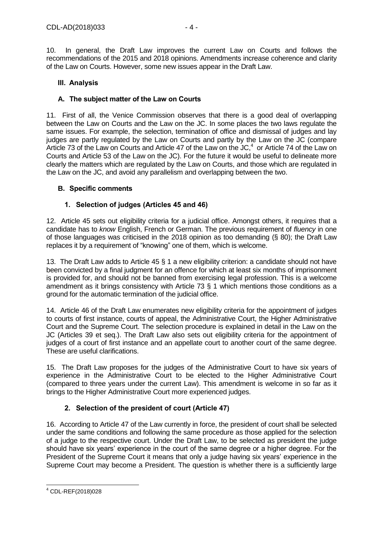10. In general, the Draft Law improves the current Law on Courts and follows the recommendations of the 2015 and 2018 opinions. Amendments increase coherence and clarity of the Law on Courts. However, some new issues appear in the Draft Law.

### <span id="page-3-0"></span>**III. Analysis**

### <span id="page-3-1"></span>**A. The subject matter of the Law on Courts**

11. First of all, the Venice Commission observes that there is a good deal of overlapping between the Law on Courts and the Law on the JC. In some places the two laws regulate the same issues. For example, the selection, termination of office and dismissal of judges and lay judges are partly regulated by the Law on Courts and partly by the Law on the JC (compare Article 73 of the Law on Courts and Article 47 of the Law on the JC,<sup>4</sup> or Article 74 of the Law on Courts and Article 53 of the Law on the JC). For the future it would be useful to delineate more clearly the matters which are regulated by the Law on Courts, and those which are regulated in the Law on the JC, and avoid any parallelism and overlapping between the two.

## <span id="page-3-2"></span>**B. Specific comments**

## **1. Selection of judges (Articles 45 and 46)**

<span id="page-3-3"></span>12. Article 45 sets out eligibility criteria for a judicial office. Amongst others, it requires that a candidate has to *know* English, French or German. The previous requirement of *fluency* in one of those languages was criticised in the 2018 opinion as too demanding (§ 80); the Draft Law replaces it by a requirement of "knowing" one of them, which is welcome.

13. The Draft Law adds to Article 45 § 1 a new eligibility criterion: a candidate should not have been convicted by a final judgment for an offence for which at least six months of imprisonment is provided for, and should not be banned from exercising legal profession. This is a welcome amendment as it brings consistency with Article 73 § 1 which mentions those conditions as a ground for the automatic termination of the judicial office.

14. Article 46 of the Draft Law enumerates new eligibility criteria for the appointment of judges to courts of first instance, courts of appeal, the Administrative Court, the Higher Administrative Court and the Supreme Court. The selection procedure is explained in detail in the Law on the JC (Articles 39 et seq.). The Draft Law also sets out eligibility criteria for the appointment of judges of a court of first instance and an appellate court to another court of the same degree. These are useful clarifications.

15. The Draft Law proposes for the judges of the Administrative Court to have six years of experience in the Administrative Court to be elected to the Higher Administrative Court (compared to three years under the current Law). This amendment is welcome in so far as it brings to the Higher Administrative Court more experienced judges.

# **2. Selection of the president of court (Article 47)**

<span id="page-3-4"></span>16. According to Article 47 of the Law currently in force, the president of court shall be selected under the same conditions and following the same procedure as those applied for the selection of a judge to the respective court. Under the Draft Law, to be selected as president the judge should have six years' experience in the court of the same degree or a higher degree. For the President of the Supreme Court it means that only a judge having six years' experience in the Supreme Court may become a President. The question is whether there is a sufficiently large

-

<sup>4</sup> CDL-REF(2018)028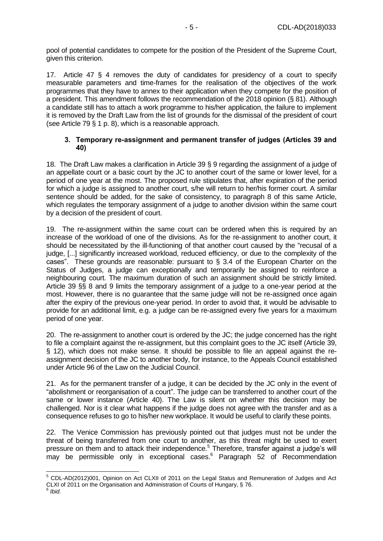pool of potential candidates to compete for the position of the President of the Supreme Court, given this criterion.

17. Article 47 § 4 removes the duty of candidates for presidency of a court to specify measurable parameters and time-frames for the realisation of the objectives of the work programmes that they have to annex to their application when they compete for the position of a president. This amendment follows the recommendation of the 2018 opinion (§ 81). Although a candidate still has to attach a work programme to his/her application, the failure to implement it is removed by the Draft Law from the list of grounds for the dismissal of the president of court (see Article 79 § 1 p. 8), which is a reasonable approach.

#### <span id="page-4-0"></span>**3. Temporary re-assignment and permanent transfer of judges (Articles 39 and 40)**

18. The Draft Law makes a clarification in Article 39 § 9 regarding the assignment of a judge of an appellate court or a basic court by the JC to another court of the same or lower level, for a period of one year at the most. The proposed rule stipulates that, after expiration of the period for which a judge is assigned to another court, s/he will return to her/his former court. A similar sentence should be added, for the sake of consistency, to paragraph 8 of this same Article, which regulates the temporary assignment of a judge to another division within the same court by a decision of the president of court.

19. The re-assignment within the same court can be ordered when this is required by an increase of the workload of one of the divisions. As for the re-assignment to another court, it should be necessitated by the ill-functioning of that another court caused by the "recusal of a judge, [...] significantly increased workload, reduced efficiency, or due to the complexity of the cases". These grounds are reasonable: pursuant to  $\S$  3.4 of the European Charter on the Status of Judges, a judge can exceptionally and temporarily be assigned to reinforce a neighbouring court. The maximum duration of such an assignment should be strictly limited. Article 39 §§ 8 and 9 limits the temporary assignment of a judge to a one-year period at the most. However, there is no guarantee that the same judge will not be re-assigned once again after the expiry of the previous one-year period. In order to avoid that, it would be advisable to provide for an additional limit, e.g. a judge can be re-assigned every five years for a maximum period of one year.

20. The re-assignment to another court is ordered by the JC; the judge concerned has the right to file a complaint against the re-assignment, but this complaint goes to the JC itself (Article 39, § 12), which does not make sense. It should be possible to file an appeal against the reassignment decision of the JC to another body, for instance, to the Appeals Council established under Article 96 of the Law on the Judicial Council.

21. As for the permanent transfer of a judge, it can be decided by the JC only in the event of "abolishment or reorganisation of a court". The judge can be transferred to another court of the same or lower instance (Article 40). The Law is silent on whether this decision may be challenged. Nor is it clear what happens if the judge does not agree with the transfer and as a consequence refuses to go to his/her new workplace. It would be useful to clarify these points.

22. The Venice Commission has previously pointed out that judges must not be under the threat of being transferred from one court to another, as this threat might be used to exert pressure on them and to attack their independence.<sup>5</sup> Therefore, transfer against a judge's will may be permissible only in exceptional cases.<sup>6</sup> Paragraph 52 of Recommendation

-

<sup>&</sup>lt;sup>5</sup> CDL-AD(2012)001, Opinion on Act CLXII of 2011 on the Legal Status and Remuneration of Judges and Act CLXI of 2011 on the Organisation and Administration of Courts of Hungary, § 76.<br><sup>6</sup> thid

*Ibid.*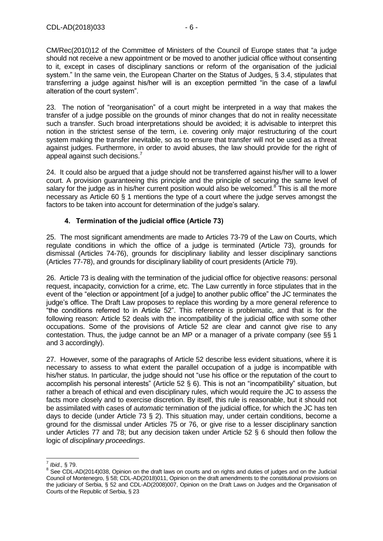CM/Rec(2010)12 of the Committee of Ministers of the Council of Europe states that "a judge should not receive a new appointment or be moved to another judicial office without consenting to it, except in cases of disciplinary sanctions or reform of the organisation of the judicial system." In the same vein, the European Charter on the Status of Judges, § 3.4, stipulates that transferring a judge against his/her will is an exception permitted "in the case of a lawful alteration of the court system".

23. The notion of "reorganisation" of a court might be interpreted in a way that makes the transfer of a judge possible on the grounds of minor changes that do not in reality necessitate such a transfer. Such broad interpretations should be avoided; it is advisable to interpret this notion in the strictest sense of the term, i.e. covering only major restructuring of the court system making the transfer inevitable, so as to ensure that transfer will not be used as a threat against judges. Furthermore, in order to avoid abuses, the law should provide for the right of appeal against such decisions. 7

24. It could also be argued that a judge should not be transferred against his/her will to a lower court. A provision guaranteeing this principle and the principle of securing the same level of salary for the judge as in his/her current position would also be welcomed.<sup>8</sup> This is all the more necessary as Article 60 § 1 mentions the type of a court where the judge serves amongst the factors to be taken into account for determination of the judge's salary.

# **4. Termination of the judicial office (Article 73)**

<span id="page-5-0"></span>25. The most significant amendments are made to Articles 73-79 of the Law on Courts, which regulate conditions in which the office of a judge is terminated (Article 73), grounds for dismissal (Articles 74-76), grounds for disciplinary liability and lesser disciplinary sanctions (Articles 77-78), and grounds for disciplinary liability of court presidents (Article 79).

26. Article 73 is dealing with the termination of the judicial office for objective reasons: personal request, incapacity, conviction for a crime, etc. The Law currently in force stipulates that in the event of the "election or appointment [of a judge] to another public office" the JC terminates the judge's office. The Draft Law proposes to replace this wording by a more general reference to "the conditions referred to in Article 52". This reference is problematic, and that is for the following reason: Article 52 deals with the incompatibility of the judicial office with some other occupations. Some of the provisions of Article 52 are clear and cannot give rise to any contestation. Thus, the judge cannot be an MP or a manager of a private company (see §§ 1 and 3 accordingly).

27. However, some of the paragraphs of Article 52 describe less evident situations, where it is necessary to assess to what extent the parallel occupation of a judge is incompatible with his/her status. In particular, the judge should not "use his office or the reputation of the court to accomplish his personal interests" (Article 52 § 6). This is not an "incompatibility" situation, but rather a breach of ethical and even disciplinary rules, which would require the JC to assess the facts more closely and to exercise discretion. By itself, this rule is reasonable, but it should not be assimilated with cases of *automatic* termination of the judicial office, for which the JC has ten days to decide (under Article 73 § 2). This situation may, under certain conditions, become a ground for the dismissal under Articles 75 or 76, or give rise to a lesser disciplinary sanction under Articles 77 and 78; but any decision taken under Article 52 § 6 should then follow the logic of *disciplinary proceedings*.

 7 *Ibid.,* § 79.

<sup>&</sup>lt;sup>8</sup> See CDL-AD(2014)038, Opinion on the draft laws on courts and on rights and duties of judges and on the Judicial Council of Montenegro, § 58; CDL-AD(2018)011, Opinion on the draft amendments to the constitutional provisions on the judiciary of Serbia, § 52 and CDL-AD(2008)007, Opinion on the Draft Laws on Judges and the Organisation of Courts of the Republic of Serbia, § 23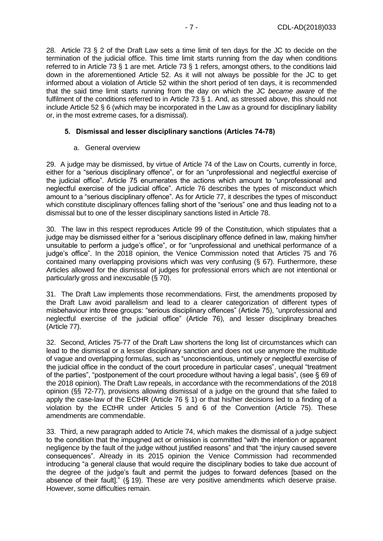28. Article 73 § 2 of the Draft Law sets a time limit of ten days for the JC to decide on the termination of the judicial office. This time limit starts running from the day when conditions referred to in Article 73 § 1 are met. Article 73 § 1 refers, amongst others, to the conditions laid down in the aforementioned Article 52. As it will not always be possible for the JC to get informed about a violation of Article 52 within the short period of ten days, it is recommended that the said time limit starts running from the day on which the JC *became aware* of the fulfilment of the conditions referred to in Article 73 § 1. And, as stressed above, this should not include Article 52 § 6 (which may be incorporated in the Law as a ground for disciplinary liability or, in the most extreme cases, for a dismissal).

#### <span id="page-6-0"></span>**5. Dismissal and lesser disciplinary sanctions (Articles 74-78)**

#### a. General overview

29. A judge may be dismissed, by virtue of Article 74 of the Law on Courts, currently in force, either for a "serious disciplinary offence", or for an "unprofessional and neglectful exercise of the judicial office". Article 75 enumerates the actions which amount to "unprofessional and neglectful exercise of the judicial office". Article 76 describes the types of misconduct which amount to a "serious disciplinary offence". As for Article 77, it describes the types of misconduct which constitute disciplinary offences falling short of the "serious" one and thus leading not to a dismissal but to one of the lesser disciplinary sanctions listed in Article 78.

30. The law in this respect reproduces Article 99 of the Constitution, which stipulates that a judge may be dismissed either for a "serious disciplinary offence defined in law, making him/her unsuitable to perform a judge's office", or for "unprofessional and unethical performance of a judge's office". In the 2018 opinion, the Venice Commission noted that Articles 75 and 76 contained many overlapping provisions which was very confusing (§ 67). Furthermore, these Articles allowed for the dismissal of judges for professional errors which are not intentional or particularly gross and inexcusable (§ 70).

31. The Draft Law implements those recommendations. First, the amendments proposed by the Draft Law avoid parallelism and lead to a clearer categorization of different types of misbehaviour into three groups: "serious disciplinary offences" (Article 75), "unprofessional and neglectful exercise of the judicial office" (Article 76), and lesser disciplinary breaches (Article 77).

32. Second, Articles 75-77 of the Draft Law shortens the long list of circumstances which can lead to the dismissal or a lesser disciplinary sanction and does not use anymore the multitude of vague and overlapping formulas, such as "unconscientious, untimely or neglectful exercise of the judicial office in the conduct of the court procedure in particular cases", unequal "treatment of the parties", "postponement of the court procedure without having a legal basis", (see § 69 of the 2018 opinion). The Draft Law repeals, in accordance with the recommendations of the 2018 opinion (§§ 72-77), provisions allowing dismissal of a judge on the ground that s/he failed to apply the case-law of the ECtHR (Article 76 § 1) or that his/her decisions led to a finding of a violation by the ECtHR under Articles 5 and 6 of the Convention (Article 75). These amendments are commendable.

33. Third, a new paragraph added to Article 74, which makes the dismissal of a judge subject to the condition that the impugned act or omission is committed "with the intention or apparent negligence by the fault of the judge without justified reasons" and that "the injury caused severe consequences". Already in its 2015 opinion the Venice Commission had recommended introducing "a general clause that would require the disciplinary bodies to take due account of the degree of the judge's fault and permit the judges to forward defences [based on the absence of their fault]." (§ 19). These are very positive amendments which deserve praise. However, some difficulties remain.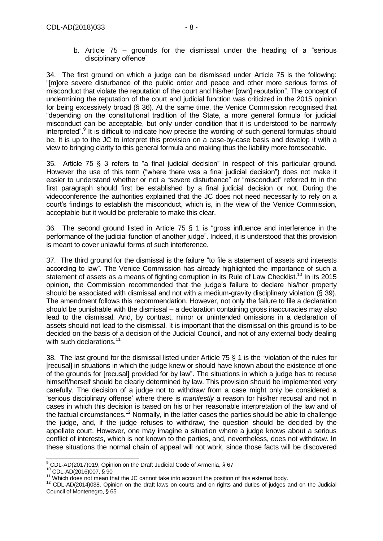disciplinary offence"

34. The first ground on which a judge can be dismissed under Article 75 is the following: "[m]ore severe disturbance of the public order and peace and other more serious forms of misconduct that violate the reputation of the court and his/her [own] reputation". The concept of undermining the reputation of the court and judicial function was criticized in the 2015 opinion for being excessively broad (§ 36). At the same time, the Venice Commission recognised that "depending on the constitutional tradition of the State, a more general formula for judicial misconduct can be acceptable, but only under condition that it is understood to be narrowly interpreted".<sup>9</sup> It is difficult to indicate how precise the wording of such general formulas should be. It is up to the JC to interpret this provision on a case-by-case basis and develop it with a view to bringing clarity to this general formula and making thus the liability more foreseeable.

35. Article 75 § 3 refers to "a final judicial decision" in respect of this particular ground. However the use of this term ("where there was a final judicial decision") does not make it easier to understand whether or not a "severe disturbance" or "misconduct" referred to in the first paragraph should first be established by a final judicial decision or not. During the videoconference the authorities explained that the JC does not need necessarily to rely on a court's findings to establish the misconduct, which is, in the view of the Venice Commission, acceptable but it would be preferable to make this clear.

36. The second ground listed in Article 75 § 1 is "gross influence and interference in the performance of the judicial function of another judge". Indeed, it is understood that this provision is meant to cover unlawful forms of such interference.

37. The third ground for the dismissal is the failure "to file a statement of assets and interests according to law". The Venice Commission has already highlighted the importance of such a statement of assets as a means of fighting corruption in its Rule of Law Checklist.<sup>10</sup> In its 2015 opinion, the Commission recommended that the judge's failure to declare his/her property should be associated with dismissal and not with a medium-gravity disciplinary violation (§ 39). The amendment follows this recommendation. However, not only the failure to file a declaration should be punishable with the dismissal – a declaration containing gross inaccuracies may also lead to the dismissal. And, by contrast, minor or unintended omissions in a declaration of assets should not lead to the dismissal. It is important that the dismissal on this ground is to be decided on the basis of a decision of the Judicial Council, and not of any external body dealing with such declarations.<sup>11</sup>

38. The last ground for the dismissal listed under Article 75 § 1 is the "violation of the rules for [recusal] in situations in which the judge knew or should have known about the existence of one of the grounds for [recusal] provided for by law". The situations in which a judge has to recuse himself/herself should be clearly determined by law. This provision should be implemented very carefully. The decision of a judge not to withdraw from a case might only be considered a 'serious disciplinary offense' where there is *manifestly* a reason for his/her recusal and not in cases in which this decision is based on his or her reasonable interpretation of the law and of the factual circumstances.<sup>12</sup> Normally, in the latter cases the parties should be able to challenge the judge, and, if the judge refuses to withdraw, the question should be decided by the appellate court. However, one may imagine a situation where a judge knows about a serious conflict of interests, which is not known to the parties, and, nevertheless, does not withdraw. In these situations the normal chain of appeal will not work, since those facts will be discovered

 $\overline{a}$  $^{9}$  CDL-AD(2017)019, Opinion on the Draft Judicial Code of Armenia, § 67

<sup>10</sup> CDL-AD(2016)007, § 90

<sup>11</sup> Which does not mean that the JC cannot take into account the position of this external body.

<sup>&</sup>lt;sup>12</sup> CDL-AD(2014)038, Opinion on the draft laws on courts and on rights and duties of judges and on the Judicial Council of Montenegro, § 65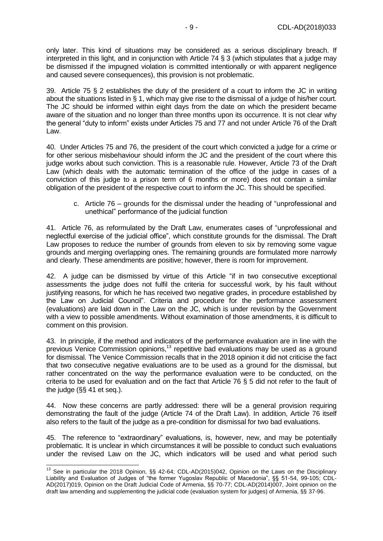only later. This kind of situations may be considered as a serious disciplinary breach. If interpreted in this light, and in conjunction with Article 74 § 3 (which stipulates that a judge may be dismissed if the impugned violation is committed intentionally or with apparent negligence and caused severe consequences), this provision is not problematic.

39. Article 75 § 2 establishes the duty of the president of a court to inform the JC in writing about the situations listed in § 1, which may give rise to the dismissal of a judge of his/her court. The JC should be informed within eight days from the date on which the president became aware of the situation and no longer than three months upon its occurrence. It is not clear why the general "duty to inform" exists under Articles 75 and 77 and not under Article 76 of the Draft Law.

40. Under Articles 75 and 76, the president of the court which convicted a judge for a crime or for other serious misbehaviour should inform the JC and the president of the court where this judge works about such conviction. This is a reasonable rule. However, Article 73 of the Draft Law (which deals with the automatic termination of the office of the judge in cases of a conviction of this judge to a prison term of 6 months or more) does not contain a similar obligation of the president of the respective court to inform the JC. This should be specified.

c. Article 76 – grounds for the dismissal under the heading of "unprofessional and unethical" performance of the judicial function

41. Article 76, as reformulated by the Draft Law, enumerates cases of "unprofessional and neglectful exercise of the judicial office", which constitute grounds for the dismissal. The Draft Law proposes to reduce the number of grounds from eleven to six by removing some vague grounds and merging overlapping ones. The remaining grounds are formulated more narrowly and clearly. These amendments are positive; however, there is room for improvement.

42. A judge can be dismissed by virtue of this Article "if in two consecutive exceptional assessments the judge does not fulfil the criteria for successful work, by his fault without justifying reasons, for which he has received two negative grades, in procedure established by the Law on Judicial Council". Criteria and procedure for the performance assessment (evaluations) are laid down in the Law on the JC, which is under revision by the Government with a view to possible amendments. Without examination of those amendments, it is difficult to comment on this provision.

43. In principle, if the method and indicators of the performance evaluation are in line with the previous Venice Commission opinions,<sup>13</sup> repetitive bad evaluations may be used as a ground for dismissal. The Venice Commission recalls that in the 2018 opinion it did not criticise the fact that two consecutive negative evaluations are to be used as a ground for the dismissal, but rather concentrated on the way the performance evaluation were to be conducted, on the criteria to be used for evaluation and on the fact that Article 76 § 5 did not refer to the fault of the judge (§§ 41 et seq.).

44. Now these concerns are partly addressed: there will be a general provision requiring demonstrating the fault of the judge (Article 74 of the Draft Law). In addition, Article 76 itself also refers to the fault of the judge as a pre-condition for dismissal for two bad evaluations.

45. The reference to "extraordinary" evaluations, is, however, new, and may be potentially problematic. It is unclear in which circumstances it will be possible to conduct such evaluations under the revised Law on the JC, which indicators will be used and what period such

<sup>-</sup><sup>13</sup> See in particular the 2018 Opinion, §§ 42-64; CDL-AD(2015)042, Opinion on the Laws on the Disciplinary Liability and Evaluation of Judges of "the former Yugoslav Republic of Macedonia", §§ 51-54, 99-105; CDL-AD(2017)019, Opinion on the Draft Judicial Code of Armenia, §§ 70-77; CDL-AD(2014)007, Joint opinion on the draft law amending and supplementing the judicial code (evaluation system for judges) of Armenia, §§ 37-96.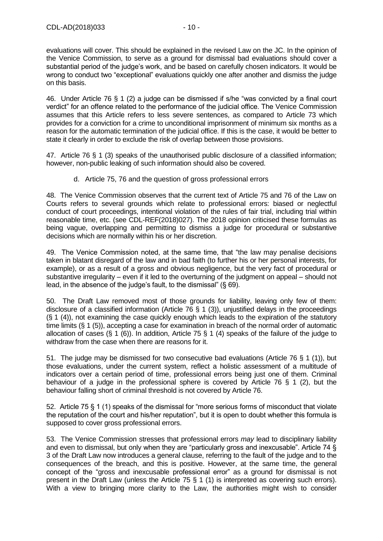evaluations will cover. This should be explained in the revised Law on the JC. In the opinion of the Venice Commission, to serve as a ground for dismissal bad evaluations should cover a substantial period of the judge's work, and be based on carefully chosen indicators. It would be wrong to conduct two "exceptional" evaluations quickly one after another and dismiss the judge on this basis.

46. Under Article 76 § 1 (2) a judge can be dismissed if s/he "was convicted by a final court verdict" for an offence related to the performance of the judicial office. The Venice Commission assumes that this Article refers to less severe sentences, as compared to Article 73 which provides for a conviction for a crime to unconditional imprisonment of minimum six months as a reason for the automatic termination of the judicial office. If this is the case, it would be better to state it clearly in order to exclude the risk of overlap between those provisions.

47. Article 76 § 1 (3) speaks of the unauthorised public disclosure of a classified information; however, non-public leaking of such information should also be covered.

### d. Article 75, 76 and the question of gross professional errors

48. The Venice Commission observes that the current text of Article 75 and 76 of the Law on Courts refers to several grounds which relate to professional errors: biased or neglectful conduct of court proceedings, intentional violation of the rules of fair trial, including trial within reasonable time, etc. (see CDL-REF(2018)027). The 2018 opinion criticised these formulas as being vague, overlapping and permitting to dismiss a judge for procedural or substantive decisions which are normally within his or her discretion.

49. The Venice Commission noted, at the same time, that "the law may penalise decisions taken in blatant disregard of the law and in bad faith (to further his or her personal interests, for example), or as a result of a gross and obvious negligence, but the very fact of procedural or substantive irregularity – even if it led to the overturning of the judgment on appeal – should not lead, in the absence of the judge's fault, to the dismissal" (§ 69).

50. The Draft Law removed most of those grounds for liability, leaving only few of them: disclosure of a classified information (Article 76 § 1 (3)), unjustified delays in the proceedings (§ 1 (4)), not examining the case quickly enough which leads to the expiration of the statutory time limits (§ 1 (5)), accepting a case for examination in breach of the normal order of automatic allocation of cases (§ 1 (6)). In addition, Article 75 § 1 (4) speaks of the failure of the judge to withdraw from the case when there are reasons for it.

51. The judge may be dismissed for two consecutive bad evaluations (Article 76 § 1 (1)), but those evaluations, under the current system, reflect a holistic assessment of a multitude of indicators over a certain period of time, professional errors being just one of them. Criminal behaviour of a judge in the professional sphere is covered by Article 76 § 1 (2), but the behaviour falling short of criminal threshold is not covered by Article 76.

52. Article 75 § 1 (1) speaks of the dismissal for "more serious forms of misconduct that violate the reputation of the court and his/her reputation", but it is open to doubt whether this formula is supposed to cover gross professional errors.

53. The Venice Commission stresses that professional errors *may* lead to disciplinary liability and even to dismissal, but only when they are "particularly gross and inexcusable". Article 74 § 3 of the Draft Law now introduces a general clause, referring to the fault of the judge and to the consequences of the breach, and this is positive. However, at the same time, the general concept of the "gross and inexcusable professional error" as a ground for dismissal is not present in the Draft Law (unless the Article 75 § 1 (1) is interpreted as covering such errors). With a view to bringing more clarity to the Law, the authorities might wish to consider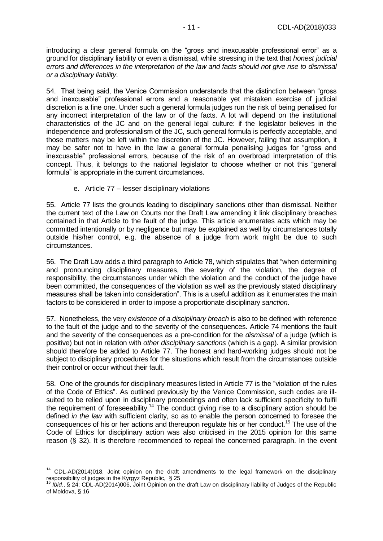introducing a clear general formula on the "gross and inexcusable professional error" as a ground for disciplinary liability or even a dismissal, while stressing in the text that *honest judicial errors and differences in the interpretation of the law and facts should not give rise to dismissal or a disciplinary liability*.

54. That being said, the Venice Commission understands that the distinction between "gross and inexcusable" professional errors and a reasonable yet mistaken exercise of judicial discretion is a fine one. Under such a general formula judges run the risk of being penalised for any incorrect interpretation of the law or of the facts. A lot will depend on the institutional characteristics of the JC and on the general legal culture: if the legislator believes in the independence and professionalism of the JC, such general formula is perfectly acceptable, and those matters may be left within the discretion of the JC. However, failing that assumption, it may be safer not to have in the law a general formula penalising judges for "gross and inexcusable" professional errors, because of the risk of an overbroad interpretation of this concept. Thus, it belongs to the national legislator to choose whether or not this "general formula" is appropriate in the current circumstances.

#### e. Article 77 – lesser disciplinary violations

55. Article 77 lists the grounds leading to disciplinary sanctions other than dismissal. Neither the current text of the Law on Courts nor the Draft Law amending it link disciplinary breaches contained in that Article to the fault of the judge. This article enumerates acts which may be committed intentionally or by negligence but may be explained as well by circumstances totally outside his/her control, e.g. the absence of a judge from work might be due to such circumstances.

56. The Draft Law adds a third paragraph to Article 78, which stipulates that "when determining and pronouncing disciplinary measures, the severity of the violation, the degree of responsibility, the circumstances under which the violation and the conduct of the judge have been committed, the consequences of the violation as well as the previously stated disciplinary measures shall be taken into consideration". This is a useful addition as it enumerates the main factors to be considered in order to impose a proportionate disciplinary *sanction*.

57. Nonetheless, the very *existence of a disciplinary breach* is also to be defined with reference to the fault of the judge and to the severity of the consequences. Article 74 mentions the fault and the severity of the consequences as a pre-condition for the *dismissal* of a judge (which is positive) but not in relation with *other disciplinary sanctions* (which is a gap). A similar provision should therefore be added to Article 77. The honest and hard-working judges should not be subject to disciplinary procedures for the situations which result from the circumstances outside their control or occur without their fault.

58. One of the grounds for disciplinary measures listed in Article 77 is the "violation of the rules of the Code of Ethics". As outlined previously by the Venice Commission, such codes are illsuited to be relied upon in disciplinary proceedings and often lack sufficient specificity to fulfil the requirement of foreseeability.<sup>14</sup> The conduct giving rise to a disciplinary action should be defined *in the law* with sufficient clarity, so as to enable the person concerned to foresee the consequences of his or her actions and thereupon regulate his or her conduct.<sup>15</sup> The use of the Code of Ethics for disciplinary action was also criticised in the 2015 opinion for this same reason (§ 32). It is therefore recommended to repeal the concerned paragraph. In the event

-

 $14$  CDL-AD(2014)018, Joint opinion on the draft amendments to the legal framework on the disciplinary responsibility of judges in the Kyrgyz Republic, § 25

<sup>15</sup> *Ibid.*, § 24; CDL-AD(2014)006, Joint Opinion on the draft Law on disciplinary liability of Judges of the Republic of Moldova, § 16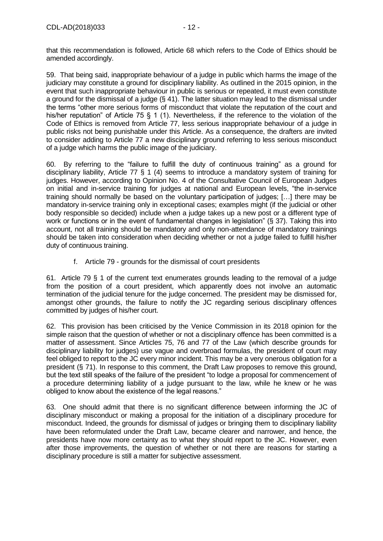that this recommendation is followed, Article 68 which refers to the Code of Ethics should be amended accordingly.

59. That being said, inappropriate behaviour of a judge in public which harms the image of the judiciary may constitute a ground for disciplinary liability. As outlined in the 2015 opinion, in the event that such inappropriate behaviour in public is serious or repeated, it must even constitute a ground for the dismissal of a judge (§ 41). The latter situation may lead to the dismissal under the terms "other more serious forms of misconduct that violate the reputation of the court and his/her reputation" of Article 75 § 1 (1). Nevertheless, if the reference to the violation of the Code of Ethics is removed from Article 77, less serious inappropriate behaviour of a judge in public risks not being punishable under this Article. As a consequence, the drafters are invited to consider adding to Article 77 a new disciplinary ground referring to less serious misconduct of a judge which harms the public image of the judiciary.

60. By referring to the "failure to fulfill the duty of continuous training" as a ground for disciplinary liability, Article 77 § 1 (4) seems to introduce a mandatory system of training for judges. However, according to Opinion No. 4 of the Consultative Council of European Judges on initial and in-service training for judges at national and European levels, "the in-service training should normally be based on the voluntary participation of judges; […] there may be mandatory in-service training only in exceptional cases; examples might (if the judicial or other body responsible so decided) include when a judge takes up a new post or a different type of work or functions or in the event of fundamental changes in legislation" (§ 37). Taking this into account, not all training should be mandatory and only non-attendance of mandatory trainings should be taken into consideration when deciding whether or not a judge failed to fulfill his/her duty of continuous training.

f. Article 79 - grounds for the dismissal of court presidents

61. Article 79 § 1 of the current text enumerates grounds leading to the removal of a judge from the position of a court president, which apparently does not involve an automatic termination of the judicial tenure for the judge concerned. The president may be dismissed for, amongst other grounds, the failure to notify the JC regarding serious disciplinary offences committed by judges of his/her court.

62. This provision has been criticised by the Venice Commission in its 2018 opinion for the simple raison that the question of whether or not a disciplinary offence has been committed is a matter of assessment. Since Articles 75, 76 and 77 of the Law (which describe grounds for disciplinary liability for judges) use vague and overbroad formulas, the president of court may feel obliged to report to the JC every minor incident. This may be a very onerous obligation for a president (§ 71). In response to this comment, the Draft Law proposes to remove this ground, but the text still speaks of the failure of the president "to lodge a proposal for commencement of a procedure determining liability of a judge pursuant to the law, while he knew or he was obliged to know about the existence of the legal reasons."

63. One should admit that there is no significant difference between informing the JC of disciplinary misconduct or making a proposal for the initiation of a disciplinary procedure for misconduct. Indeed, the grounds for dismissal of judges or bringing them to disciplinary liability have been reformulated under the Draft Law, became clearer and narrower, and hence, the presidents have now more certainty as to what they should report to the JC. However, even after those improvements, the question of whether or not there are reasons for starting a disciplinary procedure is still a matter for subjective assessment.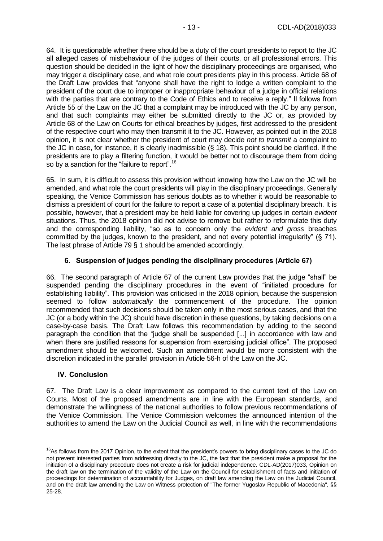64. It is questionable whether there should be a duty of the court presidents to report to the JC all alleged cases of misbehaviour of the judges of their courts, or all professional errors. This question should be decided in the light of how the disciplinary proceedings are organised, who may trigger a disciplinary case, and what role court presidents play in this process. Article 68 of the Draft Law provides that "anyone shall have the right to lodge a written complaint to the president of the court due to improper or inappropriate behaviour of a judge in official relations with the parties that are contrary to the Code of Ethics and to receive a reply." Il follows from Article 55 of the Law on the JC that a complaint may be introduced with the JC by any person, and that such complaints may either be submitted directly to the JC or, as provided by Article 68 of the Law on Courts for ethical breaches by judges, first addressed to the president of the respective court who may then transmit it to the JC. However, as pointed out in the 2018 opinion, it is not clear whether the president of court may decide *not to transmit* a complaint to the JC in case, for instance, it is clearly inadmissible (§ 18). This point should be clarified. If the presidents are to play a filtering function, it would be better not to discourage them from doing so by a sanction for the "failure to report".<sup>16</sup>

65. In sum, it is difficult to assess this provision without knowing how the Law on the JC will be amended, and what role the court presidents will play in the disciplinary proceedings. Generally speaking, the Venice Commission has serious doubts as to whether it would be reasonable to dismiss a president of court for the failure to report a case of a potential disciplinary breach. It is possible, however, that a president may be held liable for covering up judges in certain *evident* situations. Thus, the 2018 opinion did not advise to remove but rather to reformulate this duty and the corresponding liability, "so as to concern only the *evident and gross* breaches committed by the judges, known to the president, and not every potential irregularity" (§ 71). The last phrase of Article 79 § 1 should be amended accordingly.

# **6. Suspension of judges pending the disciplinary procedures (Article 67)**

<span id="page-12-0"></span>66. The second paragraph of Article 67 of the current Law provides that the judge "shall" be suspended pending the disciplinary procedures in the event of "initiated procedure for establishing liability". This provision was criticised in the 2018 opinion, because the suspension seemed to follow *automatically* the commencement of the procedure. The opinion recommended that such decisions should be taken only in the most serious cases, and that the JC (or a body within the JC) should have discretion in these questions, by taking decisions on a case-by-case basis. The Draft Law follows this recommendation by adding to the second paragraph the condition that the "judge shall be suspended [...] in accordance with law and when there are justified reasons for suspension from exercising judicial office". The proposed amendment should be welcomed. Such an amendment would be more consistent with the discretion indicated in the parallel provision in Article 56-h of the Law on the JC.

### <span id="page-12-1"></span>**IV. Conclusion**

67. The Draft Law is a clear improvement as compared to the current text of the Law on Courts. Most of the proposed amendments are in line with the European standards, and demonstrate the willingness of the national authorities to follow previous recommendations of the Venice Commission. The Venice Commission welcomes the announced intention of the authorities to amend the Law on the Judicial Council as well, in line with the recommendations

 $\overline{1}$ <sup>16</sup>As follows from the 2017 Opinion, to the extent that the president's powers to bring disciplinary cases to the JC do not prevent interested parties from addressing directly to the JC, the fact that the president make a proposal for the initiation of a disciplinary procedure does not create a risk for judicial independence. CDL-AD(2017)033, Opinion on the draft law on the termination of the validity of the Law on the Council for establishment of facts and initiation of proceedings for determination of accountability for Judges, on draft law amending the Law on the Judicial Council, and on the draft law amending the Law on Witness protection of "The former Yugoslav Republic of Macedonia", §§ 25-28.